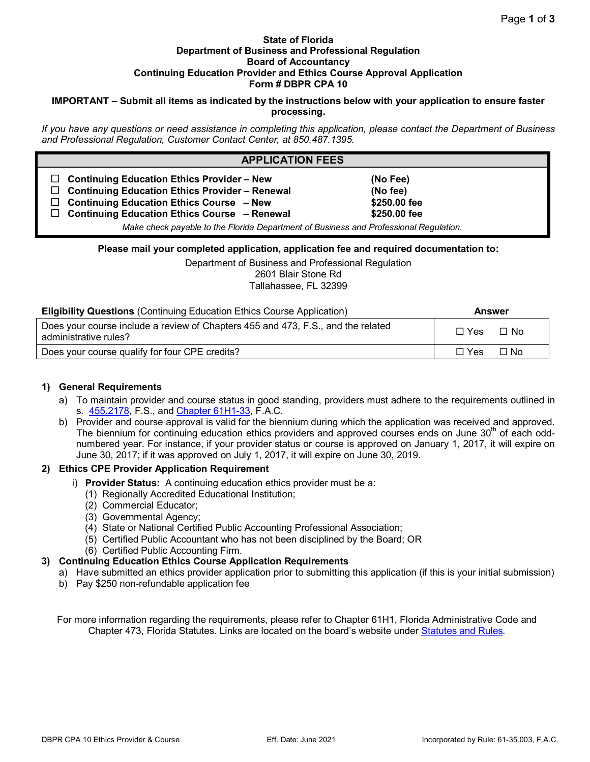#### **State of Florida Department of Business and Professional Regulation Board of Accountancy Continuing Education Provider and Ethics Course Approval Application Form # DBPR CPA 10**

### **IMPORTANT – Submit all items as indicated by the instructions below with your application to ensure faster processing.**

*If you have any questions or need assistance in completing this application, please contact the Department of Business and Professional Regulation, Customer Contact Center, at 850.487.1395.* 

| <b>APPLICATION FEES</b>                                                                                                                                                                                                                                                                                                           |                                                      |  |  |
|-----------------------------------------------------------------------------------------------------------------------------------------------------------------------------------------------------------------------------------------------------------------------------------------------------------------------------------|------------------------------------------------------|--|--|
| <b>Continuing Education Ethics Provider - New</b><br><b>Continuing Education Ethics Provider - Renewal</b><br><b>Continuing Education Ethics Course - New</b><br>$\Box$<br><b>Continuing Education Ethics Course - Renewal</b><br>$\Box$<br>Make check payable to the Florida Department of Business and Professional Regulation. | (No Fee)<br>(No fee)<br>\$250.00 fee<br>\$250.00 fee |  |  |

**Please mail your completed application, application fee and required documentation to:**

Department of Business and Professional Regulation 2601 Blair Stone Rd Tallahassee, FL 32399

| <b>Eligibility Questions (Continuing Education Ethics Course Application)</b>    | Answer          |
|----------------------------------------------------------------------------------|-----------------|
| Does your course include a review of Chapters 455 and 473, F.S., and the related | $\Box$ $\Delta$ |

Does your course include a review of Chapters 455 and 473, F.S., and the related boes your course include a review of Orlapters 455 and 475, 1.55, and the related  $\square$  Yes  $\square$  No administrative rules? Does your course qualify for four CPE credits?  $\Box$  No

# **1) General Requirements**

- a) To maintain provider and course status in good standing, providers must adhere to the requirements outlined in s. [455.2178, F](http://archive.flsenate.gov/Statutes/Index.cfm?App_mode=Display_Statute&Search_String&URL=0400-0499%2f0455%2fSections%2f0455.2178.html).S., and [Chapter 61H1-33, F](https://www.flrules.org/gateway/ChapterHome.asp?Chapter=61H1-33).A.C.
- b) Provider and course approval is valid for the biennium during which the application was received and approved. The biennium for continuing education ethics providers and approved courses ends on June 30<sup>th</sup> of each oddnumbered year. For instance, if your provider status or course is approved on January 1, 2017, it will expire on June 30, 2017; if it was approved on July 1, 2017, it will expire on June 30, 2019.

# **2) Ethics CPE Provider Application Requirement**

- i) **Provider Status:** A continuing education ethics provider must be a:
	- (1) Regionally Accredited Educational Institution;
	- (2) Commercial Educator;
	- (3) Governmental Agency;
	- (4) State or National Certified Public Accounting Professional Association;
	- (5) Certified Public Accountant who has not been disciplined by the Board; OR
	- (6) Certified Public Accounting Firm.

# **3) Continuing Education Ethics Course Application Requirements**

- a) Have submitted an ethics provider application prior to submitting this application (if this is your initial submission)
- b) Pay \$250 non-refundable application fee

For more information regarding the requirements, please refer to Chapter 61H1, Florida Administrative Code and Chapter 473, Florida Statutes. Links are located on the board's website under [Statutes and Rules.](http://www.myfloridalicense.com/DBPR/certified-public-accounting/statutes-and-rules/)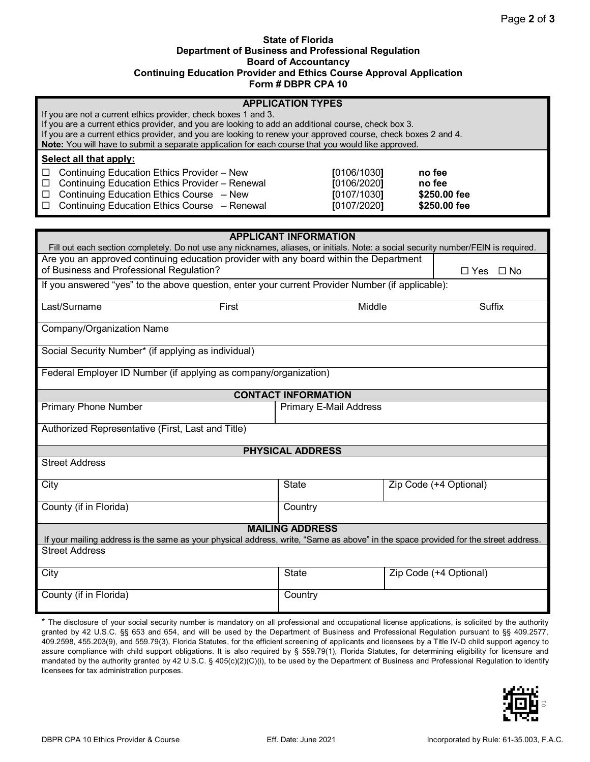#### **State of Florida Department of Business and Professional Regulation Board of Accountancy Continuing Education Provider and Ethics Course Approval Application Form # DBPR CPA 10**

| <b>APPLICATION TYPES</b><br>If you are not a current ethics provider, check boxes 1 and 3.<br>If you are a current ethics provider, and you are looking to add an additional course, check box 3.<br>If you are a current ethics provider, and you are looking to renew your approved course, check boxes 2 and 4.<br>Note: You will have to submit a separate application for each course that you would like approved. |                                                          |                                                  |  |  |
|--------------------------------------------------------------------------------------------------------------------------------------------------------------------------------------------------------------------------------------------------------------------------------------------------------------------------------------------------------------------------------------------------------------------------|----------------------------------------------------------|--------------------------------------------------|--|--|
| Select all that apply:                                                                                                                                                                                                                                                                                                                                                                                                   |                                                          |                                                  |  |  |
| Continuing Education Ethics Provider - New<br>□<br>Continuing Education Ethics Provider - Renewal<br>$\Box$<br>Continuing Education Ethics Course - New<br>□<br>$\Box$ Continuing Education Ethics Course - Renewal                                                                                                                                                                                                      | [0106/1030]<br>[0106/2020]<br>[0107/1030]<br>[0107/2020] | no fee<br>no fee<br>\$250.00 fee<br>\$250.00 fee |  |  |
|                                                                                                                                                                                                                                                                                                                                                                                                                          |                                                          |                                                  |  |  |
| Fill out each section completely. Do not use any nicknames, aliases, or initials. Note: a social security number/FEIN is required.                                                                                                                                                                                                                                                                                       | <b>APPLICANT INFORMATION</b>                             |                                                  |  |  |
| Are you an approved continuing education provider with any board within the Department                                                                                                                                                                                                                                                                                                                                   |                                                          |                                                  |  |  |
| of Business and Professional Regulation?                                                                                                                                                                                                                                                                                                                                                                                 |                                                          | $\Box$ Yes $\Box$ No                             |  |  |
| If you answered "yes" to the above question, enter your current Provider Number (if applicable):                                                                                                                                                                                                                                                                                                                         |                                                          |                                                  |  |  |
| Last/Surname<br>First                                                                                                                                                                                                                                                                                                                                                                                                    | Middle                                                   | Suffix                                           |  |  |
| Company/Organization Name                                                                                                                                                                                                                                                                                                                                                                                                |                                                          |                                                  |  |  |
| Social Security Number* (if applying as individual)                                                                                                                                                                                                                                                                                                                                                                      |                                                          |                                                  |  |  |
| Federal Employer ID Number (if applying as company/organization)                                                                                                                                                                                                                                                                                                                                                         |                                                          |                                                  |  |  |
|                                                                                                                                                                                                                                                                                                                                                                                                                          | <b>CONTACT INFORMATION</b>                               |                                                  |  |  |
| <b>Primary Phone Number</b>                                                                                                                                                                                                                                                                                                                                                                                              | Primary E-Mail Address                                   |                                                  |  |  |
| Authorized Representative (First, Last and Title)                                                                                                                                                                                                                                                                                                                                                                        |                                                          |                                                  |  |  |
| <b>PHYSICAL ADDRESS</b>                                                                                                                                                                                                                                                                                                                                                                                                  |                                                          |                                                  |  |  |
| <b>Street Address</b>                                                                                                                                                                                                                                                                                                                                                                                                    |                                                          |                                                  |  |  |
| City                                                                                                                                                                                                                                                                                                                                                                                                                     | <b>State</b>                                             | Zip Code (+4 Optional)                           |  |  |
| County (if in Florida)                                                                                                                                                                                                                                                                                                                                                                                                   | Country                                                  |                                                  |  |  |
| <b>MAILING ADDRESS</b><br>If your mailing address is the same as your physical address, write, "Same as above" in the space provided for the street address.                                                                                                                                                                                                                                                             |                                                          |                                                  |  |  |
| <b>Street Address</b>                                                                                                                                                                                                                                                                                                                                                                                                    |                                                          |                                                  |  |  |
| City                                                                                                                                                                                                                                                                                                                                                                                                                     | <b>State</b>                                             | Zip Code (+4 Optional)                           |  |  |
| County (if in Florida)                                                                                                                                                                                                                                                                                                                                                                                                   | Country                                                  |                                                  |  |  |
|                                                                                                                                                                                                                                                                                                                                                                                                                          |                                                          |                                                  |  |  |

\* The disclosure of your social security number is mandatory on all professional and occupational license applications, is solicited by the authority granted by 42 U.S.C. §§ 653 and 654, and will be used by the Department of Business and Professional Regulation pursuant to §§ 409.2577, 409.2598, 455.203(9), and 559.79(3), Florida Statutes, for the efficient screening of applicants and licensees by a Title IV-D child support agency to assure compliance with child support obligations. It is also required by § 559.79(1), Florida Statutes, for determining eligibility for licensure and mandated by the authority granted by 42 U.S.C. § 405(c)(2)(C)(i), to be used by the Department of Business and Professional Regulation to identify licensees for tax administration purposes.